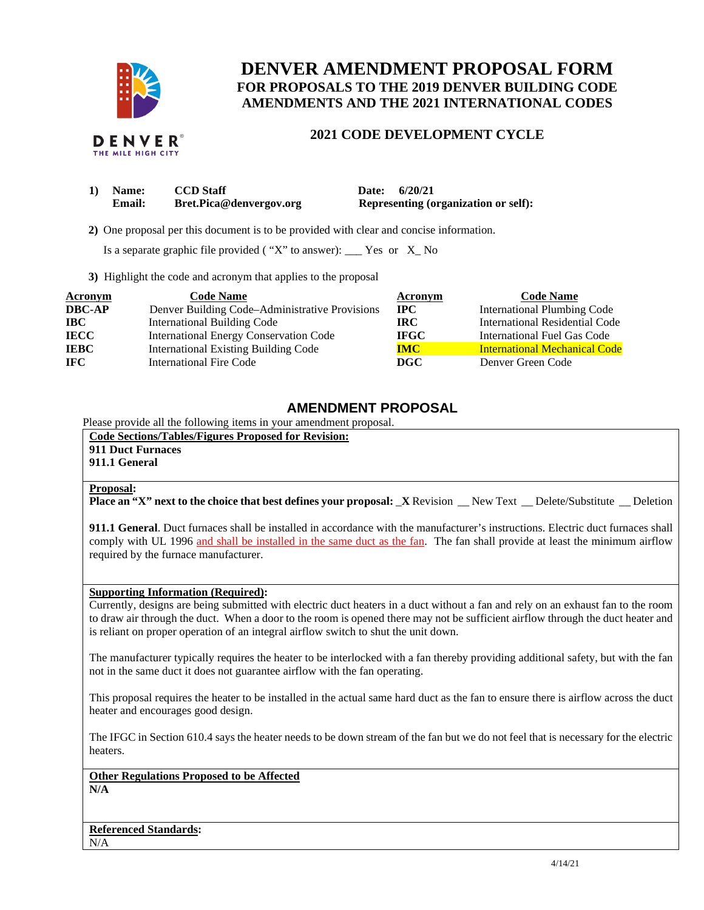

# **DENVER AMENDMENT PROPOSAL FORM FOR PROPOSALS TO THE 2019 DENVER BUILDING CODE AMENDMENTS AND THE 2021 INTERNATIONAL CODES**

#### **DENVER**® THE MILE HIGH CITY

## **2021 CODE DEVELOPMENT CYCLE**

| 1) Name:      | <b>CCD</b> Staff        | Date: 6/20/21                               |  |
|---------------|-------------------------|---------------------------------------------|--|
| <b>Email:</b> | Bret.Pica@denvergov.org | <b>Representing (organization or self):</b> |  |

 **2)** One proposal per this document is to be provided with clear and concise information.

Is a separate graphic file provided ( $"X"$  to answer): \_\_\_ Yes or  $X_N$  No

**3)** Highlight the code and acronym that applies to the proposal

| <b>Acronym</b> | <b>Code Name</b>                               | Acronym     | <b>Code Name</b>                     |
|----------------|------------------------------------------------|-------------|--------------------------------------|
| <b>DBC-AP</b>  | Denver Building Code-Administrative Provisions | $\bf{IPC}$  | <b>International Plumbing Code</b>   |
| <b>IBC</b>     | <b>International Building Code</b>             | IRC.        | International Residential Code       |
| <b>IECC</b>    | <b>International Energy Conservation Code</b>  | <b>IFGC</b> | International Fuel Gas Code          |
| <b>IEBC</b>    | <b>International Existing Building Code</b>    | <b>IMC</b>  | <b>International Mechanical Code</b> |
| IFC.           | <b>International Fire Code</b>                 | DGC         | Denver Green Code                    |

## **AMENDMENT PROPOSAL**

Please provide all the following items in your amendment proposal.

**Code Sections/Tables/Figures Proposed for Revision: 911 Duct Furnaces** 

**911.1 General**

### **Proposal:**

**Place an "X" next to the choice that best defines your proposal: X Revision New Text Delete/Substitute Deletion** 

**911.1 General**. Duct furnaces shall be installed in accordance with the manufacturer's instructions. Electric duct furnaces shall comply with UL 1996 and shall be installed in the same duct as the fan. The fan shall provide at least the minimum airflow required by the furnace manufacturer.

### **Supporting Information (Required):**

Currently, designs are being submitted with electric duct heaters in a duct without a fan and rely on an exhaust fan to the room to draw air through the duct. When a door to the room is opened there may not be sufficient airflow through the duct heater and is reliant on proper operation of an integral airflow switch to shut the unit down.

The manufacturer typically requires the heater to be interlocked with a fan thereby providing additional safety, but with the fan not in the same duct it does not guarantee airflow with the fan operating.

This proposal requires the heater to be installed in the actual same hard duct as the fan to ensure there is airflow across the duct heater and encourages good design.

The IFGC in Section 610.4 says the heater needs to be down stream of the fan but we do not feel that is necessary for the electric heaters.

**Other Regulations Proposed to be Affected** 

**N/A**

**Referenced Standards:**   $N/A$